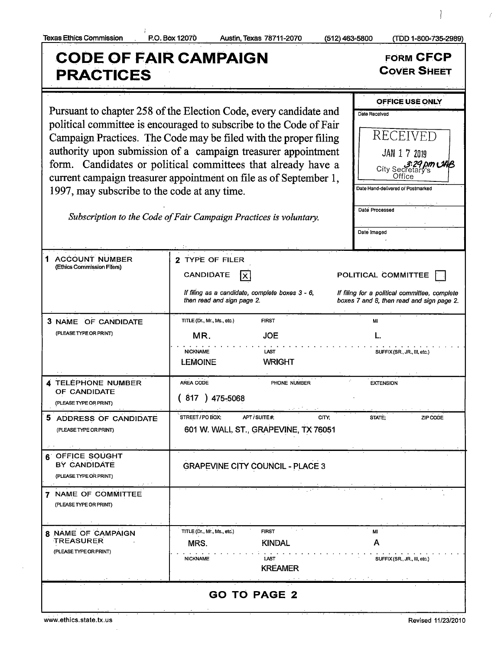## Texas Ethics Commission P.O. Box 120Z0 Austin, Texas 78711- 2070 512) 463=5800 ( TDD 1- 800- 735- 2989) CODE OF FAIR CAMPAIGN<br>
RRACTICES PRACTICES OFFICE USE ONLY Pursuant to chapter 258 of the Election Code, every candidate and  $\Gamma_{\text{Date Received}}$ political committee is encouraged to subscribe to the Code of Fair Campaign Practices. The Code may be filed with the proper filing || RECEIVED authority upon submission of a campaign treasurer appointment  $\|$  JAN 1 7 2019 form. Candidates or political committees that already have <sup>a</sup> city Secretary's<br>City Secretary's current campaign treasurer appointment on file as of September 1,  $\Box$  Office 1997, may subscribe to the code at any time. Date Processed Subscription to the Code of Fair Campaign Practices is voluntary. Date Imaged 1 ACCOUNT NUMBER 2 TYPE OF FILER (Ethics Commission Filers) CANDIDATE X If filing as a candidate, complete boxes  $3 - 6$ , If filing for a political committee, complete then read and sign page 2. boxes 7 and 8, then read and sign page 2. **3 NAME OF CANDIDATE** TITLE (Dr., Mr., Ms., etc.) FIRST FIRST MI PLEASE TYPE OR PRINT) THE MORE TYPE OR PRINT) THE MORE TYPE OR PRINT IS A L. NICKNAME LAST LAST SUFFIX (SR., JR., III, etc.) LEMOINE WRIGHT 4 TELEPHONE NUMBER AREA CODE PHONE NUMBER EXTENSION OF CANDIDATE PLEASETYPEORPRINT)  $(817) 475 - 5068$ 5 ADDRESS OF CANDIDATE STREET/POBOX; APT/SUITE#; CITY; STATE; ZIPCODE PLEASETYPEORPRINT) 601 W. WALL ST., GRAPEVINE, TX 76051 **6** OFFICE SOUGHT<br>BY CANDIDATE **GRAPEVINE CITY COUNCIL - PLACE 3** PLEASE TYPE OR PRINT) 7 NAME OF COMMITTEE PLEASE TYPE OR PRINT) 8 NAME OF CAMPAIGN TITLE (Dr., Mr., Ms., etc.) FIRST MI TREASURER **I** MRS. KINDAL A PLEASE TYPE OR PRINT) NICKNAME LAST LAST AND SUFFIX(SR., JR., III, etc.) KREAMER

GO TO PAGE 2